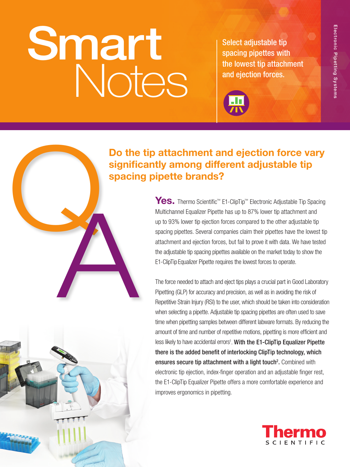# Smart Notes

Select adjustable tip spacing pipettes with the lowest tip attachment and ejection forces.



## Do the tip attachment and ejection force vary significantly among different adjustable tip spacing pipette brands?

Yes. Thermo Scientific™ E1-ClipTip™ Electronic Adjustable Tip Spacing Multichannel Equalizer Pipette has up to 87% lower tip attachment and up to 93% lower tip ejection forces compared to the other adjustable tip spacing pipettes. Several companies claim their pipettes have the lowest tip attachment and ejection forces, but fail to prove it with data. We have tested the adjustable tip spacing pipettes available on the market today to show the E1-ClipTip Equalizer Pipette requires the lowest forces to operate.

The force needed to attach and eject tips plays a crucial part in Good Laboratory Pipetting (GLP) for accuracy and precision, as well as in avoiding the risk of Repetitive Strain Injury (RSI) to the user, which should be taken into consideration when selecting a pipette. Adjustable tip spacing pipettes are often used to save time when pipetting samples between different labware formats. By reducing the amount of time and number of repetitive motions, pipetting is more efficient and less likely to have accidental errors<sup>1</sup>. With the E1-ClipTip Equalizer Pipette there is the added benefit of interlocking ClipTip technology, which ensures secure tip attachment with a light touch<sup>2</sup>. Combined with electronic tip ejection, index-finger operation and an adjustable finger rest, the E1-ClipTip Equalizer Pipette offers a more comfortable experience and improves ergonomics in pipetting.





Q